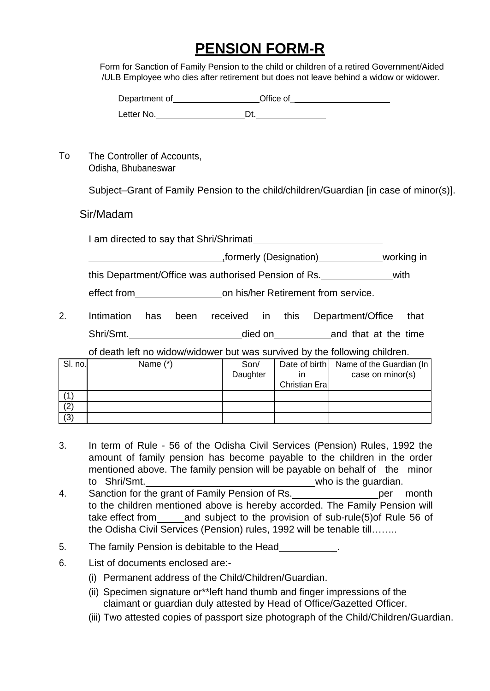## **PENSION FORM-R**

Form for Sanction of Family Pension to the child or children of a retired Government/Aided /ULB Employee who dies after retirement but does not leave behind a widow or widower.

| Department of | Office of |
|---------------|-----------|
| Letter No.    |           |

To The Controller of Accounts, Odisha, Bhubaneswar

Subject–Grant of Family Pension to the child/children/Guardian [in case of minor(s)].

## Sir/Madam

I am directed to say that Shri/Shrimati

,formerly (Designation) working in

this Department/Office was authorised Pension of Rs. with

effect from on his/her Retirement from service.

2. Intimation has been received in this Department/Office that Shri/Smt. **Shri/Smt.** died on and that at the time

of death left no widow/widower but was survived by the following children.

| SI. no. | Name (*) | Son/     |               | Date of birth   Name of the Guardian (In |
|---------|----------|----------|---------------|------------------------------------------|
|         |          | Daughter |               | case on minor(s)                         |
|         |          |          | Christian Era |                                          |
|         |          |          |               |                                          |
| (2)     |          |          |               |                                          |
| (3)     |          |          |               |                                          |

- 3. In term of Rule 56 of the Odisha Civil Services (Pension) Rules, 1992 the amount of family pension has become payable to the children in the order mentioned above. The family pension will be payable on behalf of the minor to Shri/Smt. who is the guardian.
- 4. Sanction for the grant of Family Pension of Rs. per month to the children mentioned above is hereby accorded. The Family Pension will take effect from and subject to the provision of sub-rule(5)of Rule 56 of the Odisha Civil Services (Pension) rules, 1992 will be tenable till……..
- 5. The family Pension is debitable to the Head Theorem 1.
- 6. List of documents enclosed are:-
	- (i) Permanent address of the Child/Children/Guardian.
	- (ii) Specimen signature or\*\*left hand thumb and finger impressions of the claimant or guardian duly attested by Head of Office/Gazetted Officer.
	- (iii) Two attested copies of passport size photograph of the Child/Children/Guardian.